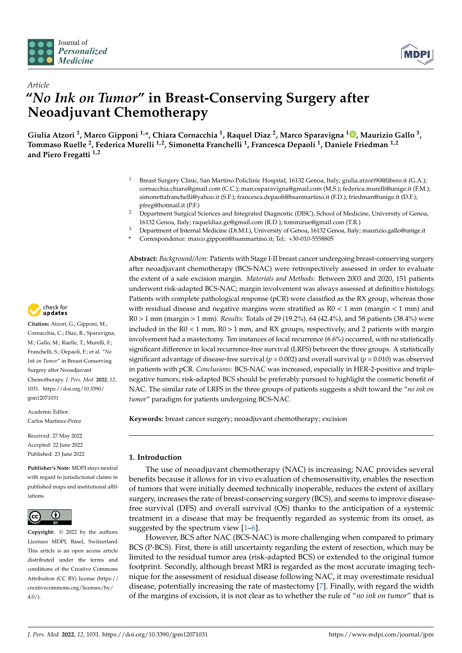



# *Article* **"***No Ink on Tumor***" in Breast-Conserving Surgery after Neoadjuvant Chemotherapy**

**Giulia Atzori <sup>1</sup> , Marco Gipponi 1,\*, Chiara Cornacchia <sup>1</sup> , Raquel Diaz <sup>2</sup> , Marco Sparavigna <sup>1</sup> [,](https://orcid.org/0000-0002-9925-2851) Maurizio Gallo <sup>3</sup> , Tommaso Ruelle <sup>2</sup> , Federica Murelli 1,2, Simonetta Franchelli <sup>1</sup> , Francesca Depaoli <sup>1</sup> , Daniele Friedman 1,2 and Piero Fregatti 1,2**

- <sup>1</sup> Breast Surgery Clinic, San Martino Policlinic Hospital, 16132 Genoa, Italy; giulia.atzori90@libero.it (G.A.); cornacchia.chiara@gmail.com (C.C.); marcosparavigna@gmail.com (M.S.); federica.murelli@unige.it (F.M.); simonettafranchelli@yahoo.it (S.F.); francesca.depaoli@hsanmartino.it (F.D.); friedman@unige.it (D.F.); pfreg@hotmail.it (P.F.)
- <sup>2</sup> Department Surgical Sciences and Integrated Diagnostic (DISC), School of Medicine, University of Genoa, 16132 Genoa, Italy; raqueldiaz.ge@gmail.com (R.D.); tommirue@gmail.com (T.R.)
- <sup>3</sup> Department of Internal Medicine (Di.M.I.), University of Genoa, 16132 Genoa, Italy; maurizio.gallo@unige.it
- **\*** Correspondence: marco.gipponi@hsanmartino.it; Tel.: +30-010-5558805

**Abstract:** *Background/Aim:* Patients with Stage I-II breast cancer undergoing breast-conserving surgery after neoadjuvant chemotherapy (BCS-NAC) were retrospectively assessed in order to evaluate the extent of a safe excision margin. *Materials and Methods:* Between 2003 and 2020, 151 patients underwent risk-adapted BCS-NAC; margin involvement was always assessed at definitive histology. Patients with complete pathological response (pCR) were classified as the RX group, whereas those with residual disease and negative margins were stratified as  $R0 < 1$  mm (margin  $< 1$  mm) and R0 > 1 mm (margin > 1 mm). *Results:* Totals of 29 (19.2%), 64 (42.4%), and 58 patients (38.4%) were included in the  $R0 < 1$  mm,  $R0 > 1$  mm, and RX groups, respectively, and 2 patients with margin involvement had a mastectomy. Ten instances of local recurrence (6.6%) occurred, with no statistically significant difference in local recurrence-free survival (LRFS) between the three groups. A statistically significant advantage of disease-free survival ( $p = 0.002$ ) and overall survival ( $p = 0.010$ ) was observed in patients with pCR. *Conclusions:* BCS-NAC was increased, especially in HER-2-positive and triplenegative tumors; risk-adapted BCS should be preferably pursued to highlight the cosmetic benefit of NAC. The similar rate of LRFS in the three groups of patients suggests a shift toward the "*no ink on tumor*" paradigm for patients undergoing BCS-NAC.

**Keywords:** breast cancer surgery; neoadjuvant chemotherapy; excision

# **1. Introduction**

The use of neoadjuvant chemotherapy (NAC) is increasing; NAC provides several benefits because it allows for in vivo evaluation of chemosensitivity, enables the resection of tumors that were initially deemed technically inoperable, reduces the extent of axillary surgery, increases the rate of breast-conserving surgery (BCS), and seems to improve diseasefree survival (DFS) and overall survival (OS) thanks to the anticipation of a systemic treatment in a disease that may be frequently regarded as systemic from its onset, as suggested by the spectrum view  $[1-6]$  $[1-6]$ .

However, BCS after NAC (BCS-NAC) is more challenging when compared to primary BCS (P-BCS). First, there is still uncertainty regarding the extent of resection, which may be limited to the residual tumor area (risk-adapted BCS) or extended to the original tumor footprint. Secondly, although breast MRI is regarded as the most accurate imaging technique for the assessment of residual disease following NAC, it may overestimate residual disease, potentially increasing the rate of mastectomy [\[7\]](#page-7-2). Finally, with regard the width of the margins of excision, it is not clear as to whether the rule of "*no ink on tumor*" that is



**Citation:** Atzori, G.; Gipponi, M.; Cornacchia, C.; Diaz, R.; Sparavigna, M.; Gallo, M.; Ruelle, T.; Murelli, F.; Franchelli, S.; Depaoli, F.; et al. "*No Ink on Tumor*" in Breast-Conserving Surgery after Neoadjuvant Chemotherapy. *J. Pers. Med.* **2022**, *12*, 1031. [https://doi.org/10.3390/](https://doi.org/10.3390/jpm12071031) [jpm12071031](https://doi.org/10.3390/jpm12071031)

Academic Editor: Carlos Martinez-Perez

Received: 27 May 2022 Accepted: 22 June 2022 Published: 23 June 2022

**Publisher's Note:** MDPI stays neutral with regard to jurisdictional claims in published maps and institutional affiliations.



**Copyright:** © 2022 by the authors. Licensee MDPI, Basel, Switzerland. This article is an open access article distributed under the terms and conditions of the Creative Commons Attribution (CC BY) license [\(https://](https://creativecommons.org/licenses/by/4.0/) [creativecommons.org/licenses/by/](https://creativecommons.org/licenses/by/4.0/)  $4.0/$ ).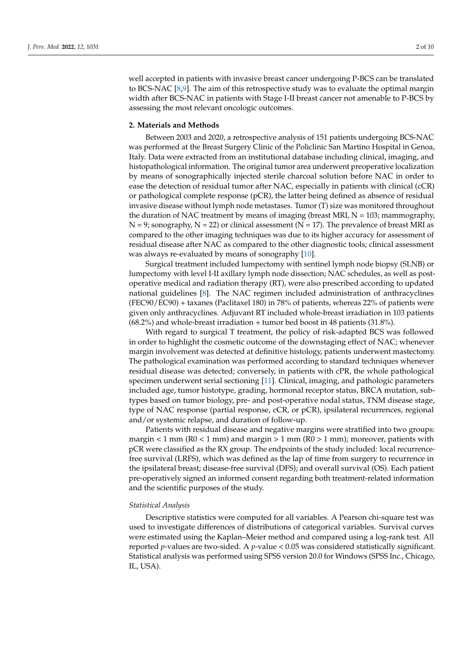well accepted in patients with invasive breast cancer undergoing P-BCS can be translated to BCS-NAC [\[8](#page-8-0)[,9\]](#page-8-1). The aim of this retrospective study was to evaluate the optimal margin width after BCS-NAC in patients with Stage I-II breast cancer not amenable to P-BCS by assessing the most relevant oncologic outcomes.

## **2. Materials and Methods**

Between 2003 and 2020, a retrospective analysis of 151 patients undergoing BCS-NAC was performed at the Breast Surgery Clinic of the Policlinic San Martino Hospital in Genoa, Italy. Data were extracted from an institutional database including clinical, imaging, and histopathological information. The original tumor area underwent preoperative localization by means of sonographically injected sterile charcoal solution before NAC in order to ease the detection of residual tumor after NAC, especially in patients with clinical (cCR) or pathological complete response (pCR), the latter being defined as absence of residual invasive disease without lymph node metastases. Tumor (T) size was monitored throughout the duration of NAC treatment by means of imaging (breast MRI,  $N = 103$ ; mammography,  $N = 9$ ; sonography,  $N = 22$ ) or clinical assessment ( $N = 17$ ). The prevalence of breast MRI as compared to the other imaging techniques was due to its higher accuracy for assessment of residual disease after NAC as compared to the other diagnostic tools; clinical assessment was always re-evaluated by means of sonography [\[10\]](#page-8-2).

Surgical treatment included lumpectomy with sentinel lymph node biopsy (SLNB) or lumpectomy with level I-II axillary lymph node dissection; NAC schedules, as well as postoperative medical and radiation therapy (RT), were also prescribed according to updated national guidelines [\[8\]](#page-8-0). The NAC regimen included administration of anthracyclines (FEC90/EC90) + taxanes (Paclitaxel 180) in 78% of patients, whereas 22% of patients were given only anthracyclines. Adjuvant RT included whole-breast irradiation in 103 patients (68.2%) and whole-breast irradiation + tumor bed boost in 48 patients (31.8%).

With regard to surgical T treatment, the policy of risk-adapted BCS was followed in order to highlight the cosmetic outcome of the downstaging effect of NAC; whenever margin involvement was detected at definitive histology, patients underwent mastectomy. The pathological examination was performed according to standard techniques whenever residual disease was detected; conversely, in patients with cPR, the whole pathological specimen underwent serial sectioning [\[11\]](#page-8-3). Clinical, imaging, and pathologic parameters included age, tumor histotype, grading, hormonal receptor status, BRCA mutation, subtypes based on tumor biology, pre- and post-operative nodal status, TNM disease stage, type of NAC response (partial response, cCR, or pCR), ipsilateral recurrences, regional and/or systemic relapse, and duration of follow-up.

Patients with residual disease and negative margins were stratified into two groups: margin  $<$  1 mm (R0  $<$  1 mm) and margin  $>$  1 mm (R0  $>$  1 mm); moreover, patients with pCR were classified as the RX group. The endpoints of the study included: local recurrencefree survival (LRFS), which was defined as the lap of time from surgery to recurrence in the ipsilateral breast; disease-free survival (DFS); and overall survival (OS). Each patient pre-operatively signed an informed consent regarding both treatment-related information and the scientific purposes of the study.

### *Statistical Analysis*

Descriptive statistics were computed for all variables. A Pearson chi-square test was used to investigate differences of distributions of categorical variables. Survival curves were estimated using the Kaplan–Meier method and compared using a log-rank test. All reported *p*-values are two-sided. A *p*-value < 0.05 was considered statistically significant. Statistical analysis was performed using SPSS version 20.0 for Windows (SPSS Inc., Chicago, IL, USA).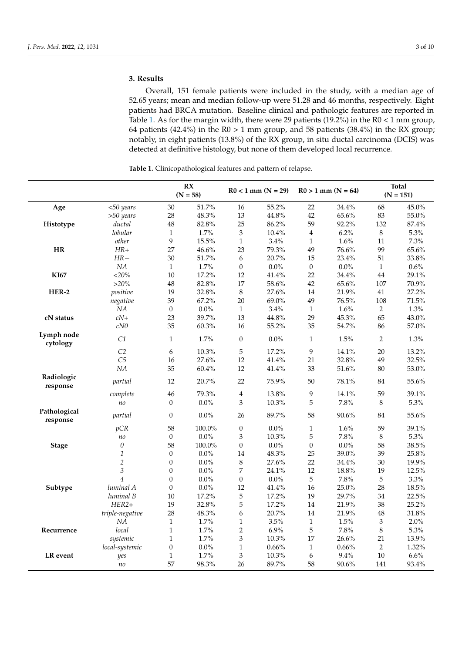# **3. Results**

Overall, 151 female patients were included in the study, with a median age of 52.65 years; mean and median follow-up were 51.28 and 46 months, respectively. Eight patients had BRCA mutation. Baseline clinical and pathologic features are reported in Table [1.](#page-3-0) As for the margin width, there were 29 patients (19.2%) in the R0 < 1 mm group, 64 patients (42.4%) in the  $R0 > 1$  mm group, and 58 patients (38.4%) in the RX group; notably, in eight patients (13.8%) of the RX group, in situ ductal carcinoma (DCIS) was detected at definitive histology, but none of them developed local recurrence.

| Age                      | $<$ 50 years    | RX<br>$(N = 58)$ |         | $R0 < 1$ mm $(N = 29)$      |          | $R0 > 1$ mm $(N = 64)$ |         | <b>Total</b><br>$(N = 151)$ |          |
|--------------------------|-----------------|------------------|---------|-----------------------------|----------|------------------------|---------|-----------------------------|----------|
|                          |                 | 30               | 51.7%   | 16                          | 55.2%    | 22                     | 34.4%   | 68                          | 45.0%    |
|                          | $>50$ years     | 28               | 48.3%   | 13                          | 44.8%    | 42                     | 65.6%   | 83                          | 55.0%    |
| Histotype                | ductal          | 48               | 82.8%   | 25                          | 86.2%    | 59                     | 92.2%   | 132                         | 87.4%    |
|                          | lobular         | $\mathbf{1}$     | 1.7%    | $\ensuremath{\mathfrak{Z}}$ | 10.4%    | $\overline{4}$         | 6.2%    | 8                           | 5.3%     |
|                          | other           | 9                | 15.5%   | $\mathbf{1}$                | 3.4%     | $\mathbf{1}$           | 1.6%    | 11                          | 7.3%     |
| <b>HR</b>                | $HR+$           | 27               | 46.6%   | 23                          | 79.3%    | 49                     | 76.6%   | 99                          | 65.6%    |
|                          | $HR-$           | 30               | 51.7%   | 6                           | 20.7%    | 15                     | 23.4%   | 51                          | 33.8%    |
|                          | $\it NA$        | $\mathbf{1}$     | 1.7%    | $\boldsymbol{0}$            | $0.0\%$  | $\boldsymbol{0}$       | 0.0%    | $\mathbf{1}$                | $0.6\%$  |
| <b>KI67</b>              | $<20\%$         | 10               | 17.2%   | 12                          | 41.4%    | 22                     | 34.4%   | 44                          | 29.1%    |
|                          | $>20\%$         | 48               | 82.8%   | 17                          | 58.6%    | 42                     | 65.6%   | 107                         | 70.9%    |
| HER-2                    | positive        | 19               | 32.8%   | $\,8\,$                     | 27.6%    | 14                     | 21.9%   | 41                          | 27.2%    |
|                          | negative        | 39               | 67.2%   | 20                          | 69.0%    | 49                     | 76.5%   | 108                         | 71.5%    |
|                          | NA              | $\boldsymbol{0}$ | $0.0\%$ | $\mathbf{1}$                | 3.4%     | $\mathbf{1}$           | 1.6%    | $\overline{2}$              | $1.3\%$  |
| cN status                | $cN+$           | 23               | 39.7%   | 13                          | 44.8%    | 29                     | 45.3%   | 65                          | 43.0%    |
|                          | cN0             | 35               | 60.3%   | 16                          | 55.2%    | 35                     | 54.7%   | 86                          | 57.0%    |
| Lymph node<br>cytology   | C1              | $\mathbf{1}$     | 1.7%    | $\mathbf{0}$                | $0.0\%$  | $\mathbf{1}$           | 1.5%    | $\overline{2}$              | 1.3%     |
|                          | C2              | 6                | 10.3%   | 5                           | 17.2%    | 9                      | 14.1%   | 20                          | 13.2%    |
|                          | C <sub>5</sub>  | 16               | 27.6%   | 12                          | 41.4%    | 21                     | 32.8%   | 49                          | 32.5%    |
|                          | NA              | 35               | 60.4%   | 12                          | 41.4%    | 33                     | 51.6%   | 80                          | 53.0%    |
| Radiologic<br>response   | partial         | 12               | 20.7%   | 22                          | 75.9%    | 50                     | 78.1%   | 84                          | 55.6%    |
|                          | complete        | 46               | 79.3%   | $\overline{4}$              | 13.8%    | 9                      | 14.1%   | 59                          | 39.1%    |
|                          | no              | $\boldsymbol{0}$ | $0.0\%$ | 3                           | 10.3%    | 5                      | 7.8%    | 8                           | 5.3%     |
| Pathological<br>response | partial         | $\boldsymbol{0}$ | $0.0\%$ | 26                          | 89.7%    | 58                     | 90.6%   | 84                          | 55.6%    |
|                          | pCR             | 58               | 100.0%  | $\boldsymbol{0}$            | $0.0\%$  | $\,1\,$                | 1.6%    | 59                          | 39.1%    |
|                          | n <sub>o</sub>  | $\boldsymbol{0}$ | $0.0\%$ | $\mathfrak{Z}$              | 10.3%    | 5                      | 7.8%    | 8                           | 5.3%     |
| <b>Stage</b>             | $\theta$        | 58               | 100.0%  | $\mathbf{0}$                | $0.0\%$  | $\boldsymbol{0}$       | $0.0\%$ | 58                          | $38.5\%$ |
|                          | 1               | $\boldsymbol{0}$ | $0.0\%$ | 14                          | 48.3%    | 25                     | 39.0%   | 39                          | 25.8%    |
|                          | $\overline{2}$  | $\boldsymbol{0}$ | $0.0\%$ | $\,8\,$                     | 27.6%    | 22                     | 34.4%   | 30                          | 19.9%    |
|                          | $\mathfrak{Z}$  | $\boldsymbol{0}$ | $0.0\%$ | 7                           | 24.1%    | 12                     | 18.8%   | 19                          | 12.5%    |
|                          | $\overline{4}$  | $\boldsymbol{0}$ | $0.0\%$ | $\boldsymbol{0}$            | $0.0\%$  | 5                      | 7.8%    | 5                           | 3.3%     |
| Subtype                  | luminal A       | $\boldsymbol{0}$ | $0.0\%$ | 12                          | $41.4\%$ | 16                     | 25.0%   | 28                          | 18.5%    |
|                          | luminal B       | 10               | 17.2%   | 5                           | 17.2%    | 19                     | 29.7%   | 34                          | 22.5%    |
|                          | $HER2+$         | 19               | 32.8%   | 5                           | 17.2%    | 14                     | 21.9%   | 38                          | 25.2%    |
|                          | triple-negative | 28               | 48.3%   | 6                           | 20.7%    | 14                     | 21.9%   | 48                          | 31.8%    |
|                          | NA              | $\mathbf{1}$     | 1.7%    | $\mathbf{1}$                | 3.5%     | $\mathbf{1}$           | 1.5%    | 3                           | 2.0%     |
| Recurrence               | local           | $\mathbf{1}$     | 1.7%    | $\overline{2}$              | 6.9%     | 5                      | 7.8%    | 8                           | 5.3%     |
|                          | systemic        | $\mathbf{1}$     | 1.7%    | 3                           | 10.3%    | 17                     | 26.6%   | 21                          | $13.9\%$ |
|                          | local-systemic  | $\boldsymbol{0}$ | $0.0\%$ | $\mathbf{1}$                | 0.66%    | $\mathbf{1}$           | 0.66%   | $\overline{2}$              | 1.32%    |
| LR event                 | yes             | $\mathbf{1}$     | 1.7%    | $\mathfrak{Z}$              | $10.3\%$ | 6                      | 9.4%    | 10                          | 6.6%     |
|                          | no              | 57               | 98.3%   | 26                          | 89.7%    | 58                     | 90.6%   | 141                         | 93.4%    |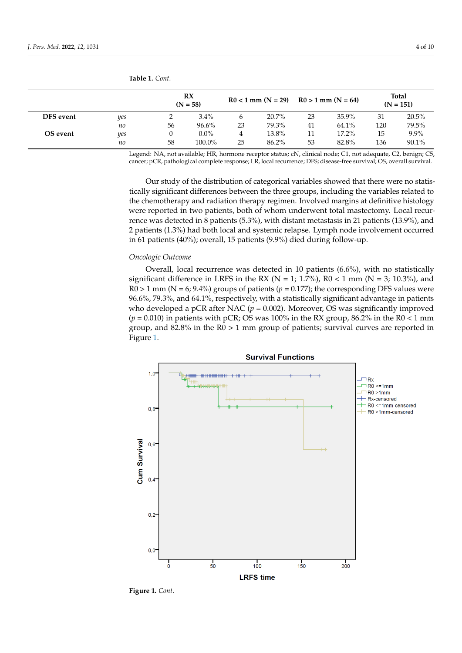|           |     | RX<br>$(N = 58)$ |          | $R0 < 1$ mm $(N = 29)$ $R0 > 1$ mm $(N = 64)$ |       |    |          | <b>Total</b><br>$(N = 151)$ |         |
|-----------|-----|------------------|----------|-----------------------------------------------|-------|----|----------|-----------------------------|---------|
| DFS event | yes |                  | 3.4%     |                                               | 20.7% | 23 | 35.9%    | 31                          | 20.5%   |
|           | no  | 56               | $96.6\%$ | 23                                            | 79.3% | 41 | 64.1%    | 120                         | 79.5%   |
| OS event  | yes |                  | $0.0\%$  | 4                                             | 13.8% |    | $17.2\%$ | 15                          | $9.9\%$ |
|           | no  | 58               | 100.0%   | 25                                            | 86.2% | 53 | 82.8%    | 136                         | 90.1%   |

<span id="page-3-0"></span>**Table 1.** *Cont.*  $\mathbf{Table 1}$  *Cout* 

Legend: NA, not available; HR, hormone receptor status; cN, clinical node; C1, not adequate, C2, benign; C5, cancer; pCR, pathological complete response; LR, local recurrence; DFS; disease-free survival; OS, overall survival.

Our study of the distribution of categorical variables showed that there were no statistically significant differences between the three groups, including the variables related to the chemotherapy and radiation therapy regimen. Involved margins at definitive histology were reported in two patients, both of whom underwent total mastectomy. Local recurrence was detected in 8 patients (5.3%), with distant metastasis in 21 patients (13.9%), and Patients (1.3%) had both local and systemic relapse. Lymph node involvement occurred<br>2 patients (1.3%) had both local and systemic relapse. Lymph node involvement occurred in 61 patients (40%); overall, 15 patients (9.9%) died during follow-up. to the report form in the patient of whom under the whole involvement occurred

#### *Oncologic Outcome* and 2 patients (1.3%) had both local and systemic relations (1.3%) had both local and systemic relations (1.3%) had both local and systemic relations (1.3%) had both local and systemic relations (1.4%) had both local and  $\alpha$ <sup>1</sup> patients (40%); overall, 15 patients (9.9%) died during follow-up.  $\alpha$

Overall, local recurrence was detected in 10 patients (6.6%), with no statistically significant difference in LRFS in the RX ( $N = 1$ ; 1.7%), R0 < 1 mm ( $N = 3$ ; 10.3%), and  $R0 > 1$  mm (N = 6; 9.4%) groups of patients ( $p = 0.177$ ); the corresponding DFS values were 96.6%, 79.3%, and 64.1%, respectively, with a statistically significant advantage in patients who developed a pCR after NAC (*p* = 0.002). Moreover, OS was significantly improved  $(p = 0.010)$  in patients with pCR; OS was  $100\%$  in the RX group, 86.2% in the R0  $< 1 \text{ mm}$ group, and 82.8% in the R0 > 1 mm group of patients; survival curves are reported in Figure [1.](#page-4-0)



**Figure 1.** *Cont*.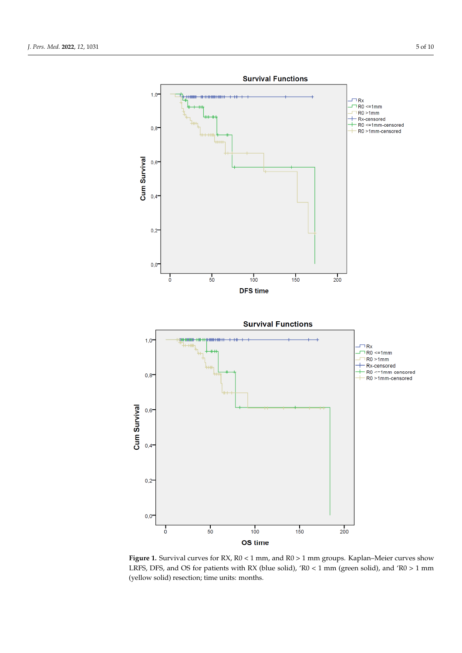<span id="page-4-0"></span>

Figure 1. Survival curves for RX, R0 < 1 mm, and R0 > 1 mm groups. Kaplan–Meier curves show LRFS, DFS, and OS for patients with RX (blue solid), ' $R0 < 1$  mm (green solid), and ' $R0 > 1$  mm (yellow solid) resection; time units: months.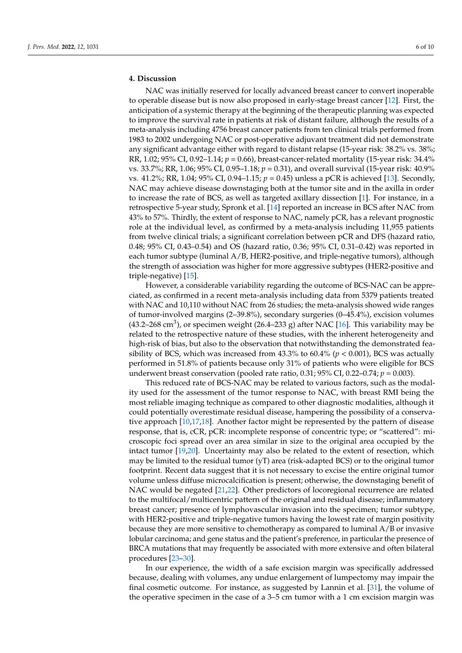# **4. Discussion**

NAC was initially reserved for locally advanced breast cancer to convert inoperable to operable disease but is now also proposed in early-stage breast cancer [\[12\]](#page-8-4). First, the anticipation of a systemic therapy at the beginning of the therapeutic planning was expected to improve the survival rate in patients at risk of distant failure, although the results of a meta-analysis including 4756 breast cancer patients from ten clinical trials performed from 1983 to 2002 undergoing NAC or post-operative adjuvant treatment did not demonstrate any significant advantage either with regard to distant relapse (15-year risk: 38.2% vs. 38%; RR, 1.02; 95% CI, 0.92–1.14; *p* = 0.66), breast-cancer-related mortality (15-year risk: 34.4% vs. 33.7%; RR, 1.06; 95% CI, 0.95–1.18; *p* = 0.31), and overall survival (15-year risk: 40.9% vs. 41.2%; RR, 1.04; 95% CI, 0.94–1.15; *p* = 0.45) unless a pCR is achieved [\[13\]](#page-8-5). Secondly, NAC may achieve disease downstaging both at the tumor site and in the axilla in order to increase the rate of BCS, as well as targeted axillary dissection [\[1\]](#page-7-0). For instance, in a retrospective 5-year study, Spronk et al. [\[14\]](#page-8-6) reported an increase in BCS after NAC from 43% to 57%. Thirdly, the extent of response to NAC, namely pCR, has a relevant prognostic role at the individual level, as confirmed by a meta-analysis including 11,955 patients from twelve clinical trials; a significant correlation between pCR and DFS (hazard ratio, 0.48; 95% CI, 0.43–0.54) and OS (hazard ratio, 0.36; 95% CI, 0.31–0.42) was reported in each tumor subtype (luminal A/B, HER2-positive, and triple-negative tumors), although the strength of association was higher for more aggressive subtypes (HER2-positive and triple-negative) [\[15\]](#page-8-7).

However, a considerable variability regarding the outcome of BCS-NAC can be appreciated, as confirmed in a recent meta-analysis including data from 5379 patients treated with NAC and 10,110 without NAC from 26 studies; the meta-analysis showed wide ranges of tumor-involved margins (2–39.8%), secondary surgeries (0–45.4%), excision volumes (43.2–268 cm<sup>3</sup>), or specimen weight (26.4–233 g) after NAC [\[16\]](#page-8-8). This variability may be related to the retrospective nature of these studies, with the inherent heterogeneity and high-risk of bias, but also to the observation that notwithstanding the demonstrated feasibility of BCS, which was increased from  $43.3\%$  to  $60.4\%$  ( $p < 0.001$ ), BCS was actually performed in 51.8% of patients because only 31% of patients who were eligible for BCS underwent breast conservation (pooled rate ratio, 0.31; 95% CI, 0.22–0.74; *p* = 0.003).

This reduced rate of BCS-NAC may be related to various factors, such as the modality used for the assessment of the tumor response to NAC, with breast RMI being the most reliable imaging technique as compared to other diagnostic modalities, although it could potentially overestimate residual disease, hampering the possibility of a conservative approach [\[10,](#page-8-2)[17,](#page-8-9)[18\]](#page-8-10). Another factor might be represented by the pattern of disease response, that is, cCR, pCR: incomplete response of concentric type; or "scattered": microscopic foci spread over an area similar in size to the original area occupied by the intact tumor [\[19](#page-8-11)[,20\]](#page-8-12). Uncertainty may also be related to the extent of resection, which may be limited to the residual tumor (yT) area (risk-adapted BCS) or to the original tumor footprint. Recent data suggest that it is not necessary to excise the entire original tumor volume unless diffuse microcalcification is present; otherwise, the downstaging benefit of NAC would be negated [\[21,](#page-8-13)[22\]](#page-8-14). Other predictors of locoregional recurrence are related to the multifocal/multicentric pattern of the original and residual disease; inflammatory breast cancer; presence of lymphovascular invasion into the specimen; tumor subtype, with HER2-positive and triple-negative tumors having the lowest rate of margin positivity because they are more sensitive to chemotherapy as compared to luminal A/B or invasive lobular carcinoma; and gene status and the patient's preference, in particular the presence of BRCA mutations that may frequently be associated with more extensive and often bilateral procedures [\[23](#page-8-15)[–30\]](#page-8-16).

In our experience, the width of a safe excision margin was specifically addressed because, dealing with volumes, any undue enlargement of lumpectomy may impair the final cosmetic outcome. For instance, as suggested by Lannin et al. [\[31\]](#page-8-17), the volume of the operative specimen in the case of a 3–5 cm tumor with a 1 cm excision margin was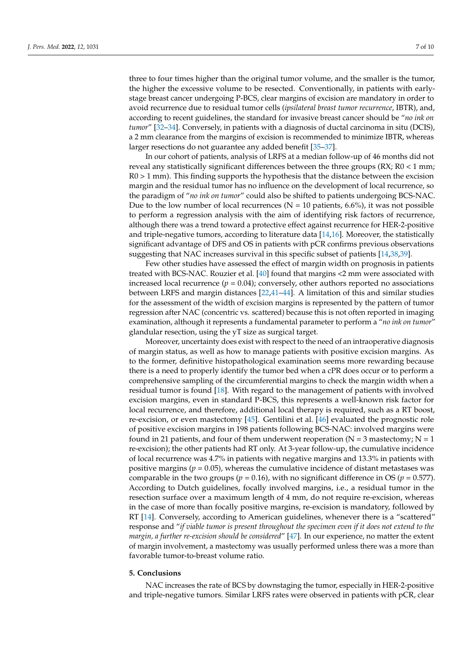three to four times higher than the original tumor volume, and the smaller is the tumor, the higher the excessive volume to be resected. Conventionally, in patients with earlystage breast cancer undergoing P-BCS, clear margins of excision are mandatory in order to avoid recurrence due to residual tumor cells (*ipsilateral breast tumor recurrence*, IBTR), and, according to recent guidelines, the standard for invasive breast cancer should be "*no ink on tumor*" [\[32–](#page-9-0)[34\]](#page-9-1). Conversely, in patients with a diagnosis of ductal carcinoma in situ (DCIS), a 2 mm clearance from the margins of excision is recommended to minimize IBTR, whereas larger resections do not guarantee any added benefit [\[35–](#page-9-2)[37\]](#page-9-3).

In our cohort of patients, analysis of LRFS at a median follow-up of 46 months did not reveal any statistically significant differences between the three groups (RX; R0 < 1 mm; R0 > 1 mm). This finding supports the hypothesis that the distance between the excision margin and the residual tumor has no influence on the development of local recurrence, so the paradigm of "*no ink on tumor*" could also be shifted to patients undergoing BCS-NAC. Due to the low number of local recurrences ( $N = 10$  patients, 6.6%), it was not possible to perform a regression analysis with the aim of identifying risk factors of recurrence, although there was a trend toward a protective effect against recurrence for HER-2-positive and triple-negative tumors, according to literature data [\[14](#page-8-6)[,16\]](#page-8-8). Moreover, the statistically significant advantage of DFS and OS in patients with pCR confirms previous observations suggesting that NAC increases survival in this specific subset of patients [\[14](#page-8-6)[,38](#page-9-4)[,39\]](#page-9-5).

Few other studies have assessed the effect of margin width on prognosis in patients treated with BCS-NAC. Rouzier et al. [\[40\]](#page-9-6) found that margins <2 mm were associated with increased local recurrence  $(p = 0.04)$ ; conversely, other authors reported no associations between LRFS and margin distances [\[22](#page-8-14)[,41](#page-9-7)[–44\]](#page-9-8). A limitation of this and similar studies for the assessment of the width of excision margins is represented by the pattern of tumor regression after NAC (concentric vs. scattered) because this is not often reported in imaging examination, although it represents a fundamental parameter to perform a "*no ink on tumor*" glandular resection, using the yT size as surgical target.

Moreover, uncertainty does exist with respect to the need of an intraoperative diagnosis of margin status, as well as how to manage patients with positive excision margins. As to the former, definitive histopathological examination seems more rewarding because there is a need to properly identify the tumor bed when a cPR does occur or to perform a comprehensive sampling of the circumferential margins to check the margin width when a residual tumor is found [\[18\]](#page-8-10). With regard to the management of patients with involved excision margins, even in standard P-BCS, this represents a well-known risk factor for local recurrence, and therefore, additional local therapy is required, such as a RT boost, re-excision, or even mastectomy [\[45\]](#page-9-9). Gentilini et al. [\[46\]](#page-9-10) evaluated the prognostic role of positive excision margins in 198 patients following BCS-NAC: involved margins were found in 21 patients, and four of them underwent reoperation ( $N = 3$  mastectomy;  $N = 1$ re-excision); the other patients had RT only. At 3-year follow-up, the cumulative incidence of local recurrence was 4.7% in patients with negative margins and 13.3% in patients with positive margins ( $p = 0.05$ ), whereas the cumulative incidence of distant metastases was comparable in the two groups ( $p = 0.16$ ), with no significant difference in OS ( $p = 0.577$ ). According to Dutch guidelines, focally involved margins, i.e., a residual tumor in the resection surface over a maximum length of 4 mm, do not require re-excision, whereas in the case of more than focally positive margins, re-excision is mandatory, followed by RT [\[14\]](#page-8-6). Conversely, according to American guidelines, whenever there is a "scattered" response and "*if viable tumor is present throughout the specimen even if it does not extend to the margin, a further re-excision should be considered*" [\[47\]](#page-9-11). In our experience, no matter the extent of margin involvement, a mastectomy was usually performed unless there was a more than favorable tumor-to-breast volume ratio.

### **5. Conclusions**

NAC increases the rate of BCS by downstaging the tumor, especially in HER-2-positive and triple-negative tumors. Similar LRFS rates were observed in patients with pCR, clear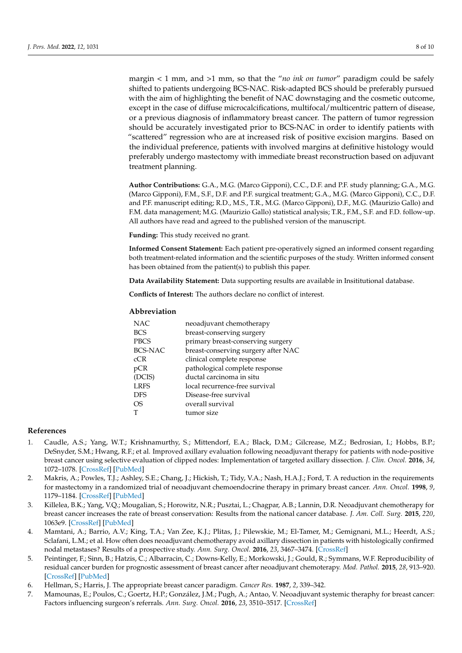margin < 1 mm, and >1 mm, so that the "*no ink on tumor*" paradigm could be safely shifted to patients undergoing BCS-NAC. Risk-adapted BCS should be preferably pursued with the aim of highlighting the benefit of NAC downstaging and the cosmetic outcome, except in the case of diffuse microcalcifications, multifocal/multicentric pattern of disease, or a previous diagnosis of inflammatory breast cancer. The pattern of tumor regression should be accurately investigated prior to BCS-NAC in order to identify patients with "scattered" regression who are at increased risk of positive excision margins. Based on the individual preference, patients with involved margins at definitive histology would preferably undergo mastectomy with immediate breast reconstruction based on adjuvant treatment planning.

**Author Contributions:** G.A., M.G. (Marco Gipponi), C.C., D.F. and P.F. study planning; G.A., M.G. (Marco Gipponi), F.M., S.F., D.F. and P.F. surgical treatment; G.A., M.G. (Marco Gipponi), C.C., D.F. and P.F. manuscript editing; R.D., M.S., T.R., M.G. (Marco Gipponi), D.F., M.G. (Maurizio Gallo) and F.M. data management; M.G. (Maurizio Gallo) statistical analysis; T.R., F.M., S.F. and F.D. follow-up. All authors have read and agreed to the published version of the manuscript.

**Funding:** This study received no grant.

**Informed Consent Statement:** Each patient pre-operatively signed an informed consent regarding both treatment-related information and the scientific purposes of the study. Written informed consent has been obtained from the patient(s) to publish this paper.

**Data Availability Statement:** Data supporting results are available in Insititutional database.

**Conflicts of Interest:** The authors declare no conflict of interest.

# **Abbreviation**

| neoadjuvant chemotherapy            |
|-------------------------------------|
| breast-conserving surgery           |
| primary breast-conserving surgery   |
| breast-conserving surgery after NAC |
| clinical complete response          |
| pathological complete response      |
| ductal carcinoma in situ            |
| local recurrence-free survival      |
| Disease-free survival               |
| overall survival                    |
| tumor size                          |
|                                     |

### **References**

- <span id="page-7-0"></span>1. Caudle, A.S.; Yang, W.T.; Krishnamurthy, S.; Mittendorf, E.A.; Black, D.M.; Gilcrease, M.Z.; Bedrosian, I.; Hobbs, B.P.; DeSnyder, S.M.; Hwang, R.F.; et al. Improved axillary evaluation following neoadjuvant therapy for patients with node-positive breast cancer using selective evaluation of clipped nodes: Implementation of targeted axillary dissection. *J. Clin. Oncol.* **2016**, *34*, 1072–1078. [\[CrossRef\]](http://doi.org/10.1200/JCO.2015.64.0094) [\[PubMed\]](http://www.ncbi.nlm.nih.gov/pubmed/26811528)
- 2. Makris, A.; Powles, T.J.; Ashley, S.E.; Chang, J.; Hickish, T.; Tidy, V.A.; Nash, H.A.J.; Ford, T. A reduction in the requirements for mastectomy in a randomized trial of neoadjuvant chemoendocrine therapy in primary breast cancer. *Ann. Oncol.* **1998**, *9*, 1179–1184. [\[CrossRef\]](http://doi.org/10.1023/A:1008400706949) [\[PubMed\]](http://www.ncbi.nlm.nih.gov/pubmed/9862047)
- 3. Killelea, B.K.; Yang, V.Q.; Mougalian, S.; Horowitz, N.R.; Pusztai, L.; Chagpar, A.B.; Lannin, D.R. Neoadjuvant chemotherapy for breast cancer increases the rate of breast conservation: Results from the national cancer database. *J. Am. Coll. Surg.* **2015**, *220*, 1063e9. [\[CrossRef\]](http://doi.org/10.1016/j.jamcollsurg.2015.02.011) [\[PubMed\]](http://www.ncbi.nlm.nih.gov/pubmed/25868410)
- 4. Mamtani, A.; Barrio, A.V.; King, T.A.; Van Zee, K.J.; Plitas, J.; Pilewskie, M.; El-Tamer, M.; Gemignani, M.L.; Heerdt, A.S.; Sclafani, L.M.; et al. How often does neoadjuvant chemotherapy avoid axillary dissection in patients with histologically confirmed nodal metastases? Results of a prospective study. *Ann. Surg. Oncol.* **2016**, *23*, 3467–3474. [\[CrossRef\]](http://doi.org/10.1245/s10434-016-5246-8)
- 5. Peintinger, F.; Sinn, B.; Hatzis, C.; Albarracin, C.; Downs-Kelly, E.; Morkowski, J.; Gould, R.; Symmans, W.F. Reproducibility of residual cancer burden for prognostic assessment of breast cancer after neoadjuvant chemoterapy. *Mod. Pathol.* **2015**, *28*, 913–920. [\[CrossRef\]](http://doi.org/10.1038/modpathol.2015.53) [\[PubMed\]](http://www.ncbi.nlm.nih.gov/pubmed/25932963)
- <span id="page-7-1"></span>6. Hellman, S.; Harris, J. The appropriate breast cancer paradigm. *Cancer Res.* **1987**, *2*, 339–342.
- <span id="page-7-2"></span>7. Mamounas, E.; Poulos, C.; Goertz, H.P.; González, J.M.; Pugh, A.; Antao, V. Neoadjuvant systemic theraphy for breast cancer: Factors influencing surgeon's referrals. *Ann. Surg. Oncol.* **2016**, *23*, 3510–3517. [\[CrossRef\]](http://doi.org/10.1245/s10434-016-5296-y)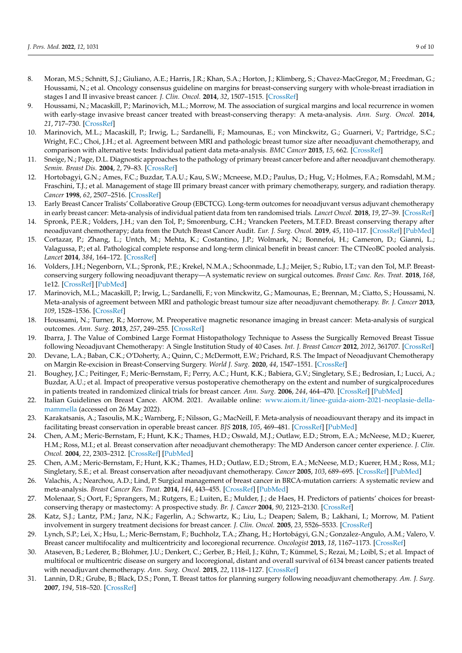- <span id="page-8-0"></span>8. Moran, M.S.; Schnitt, S.J.; Giuliano, A.E.; Harris, J.R.; Khan, S.A.; Horton, J.; Klimberg, S.; Chavez-MacGregor, M.; Freedman, G.; Houssami, N.; et al. Oncology consensus guideline on margins for breast-conserving surgery with whole-breast irradiation in stages I and II invasive breast cancer. *J. Clin. Oncol.* **2014**, *32*, 1507–1515. [\[CrossRef\]](http://doi.org/10.1200/JCO.2013.53.3935)
- <span id="page-8-1"></span>9. Houssami, N.; Macaskill, P.; Marinovich, M.L.; Morrow, M. The association of surgical margins and local recurrence in women with early-stage invasive breast cancer treated with breast-conserving therapy: A meta-analysis. *Ann. Surg. Oncol.* **2014**, *21*, 717–730. [\[CrossRef\]](http://doi.org/10.1245/s10434-014-3480-5)
- <span id="page-8-2"></span>10. Marinovich, M.L.; Macaskill, P.; Irwig, L.; Sardanelli, F.; Mamounas, E.; von Minckwitz, G.; Guarneri, V.; Partridge, S.C.; Wright, F.C.; Choi, J.H.; et al. Agreement between MRI and pathologic breast tumor size after neoadjuvant chemotherapy, and comparison with alternative tests: Individual patient data meta-analysis. *BMC Cancer* **2015**, *15*, 662. [\[CrossRef\]](http://doi.org/10.1186/s12885-015-1664-4)
- <span id="page-8-3"></span>11. Sneige, N.; Page, D.L. Diagnostic approaches to the pathology of primary breast cancer before and after neoadjuvant chemotherapy. *Semin. Breast Dis.* **2004**, *2*, 79–83. [\[CrossRef\]](http://doi.org/10.1053/j.sembd.2005.01.004)
- <span id="page-8-4"></span>12. Hortobagyi, G.N.; Ames, F.C.; Buzdar, T.A.U.; Kau, S.W.; Mcneese, M.D.; Paulus, D.; Hug, V.; Holmes, F.A.; Romsdahl, M.M.; Fraschini, T.J.; et al. Management of stage III primary breast cancer with primary chemotherapy, surgery, and radiation therapy. *Cancer* **1998**, *62*, 2507–2516. [\[CrossRef\]](http://doi.org/10.1002/1097-0142(19881215)62:12<2507::AID-CNCR2820621210>3.0.CO;2-D)
- <span id="page-8-5"></span>13. Early Breast Cancer Tralists' Collaborative Group (EBCTCG). Long-term outcomes for neoadjuvant versus adjuvant chemotherapy in early breast cancer: Meta-analysis of individual patient data from ten randomised trials. *Lancet Oncol.* **2018**, *19*, 27–39. [\[CrossRef\]](http://doi.org/10.1016/S1470-2045(17)30777-5)
- <span id="page-8-6"></span>14. Spronk, P.E.R.; Volders, J.H.; van den Tol, P.; Smorenburg, C.H.; Vrancken Peeters, M.T.F.D. Breast conserving therapy after neoadjuvant chemotherapy; data from the Dutch Breast Cancer Audit. *Eur. J. Surg. Oncol.* **2019**, *45*, 110–117. [\[CrossRef\]](http://doi.org/10.1016/j.ejso.2018.09.027) [\[PubMed\]](http://www.ncbi.nlm.nih.gov/pubmed/30348601)
- <span id="page-8-7"></span>15. Cortazar, P.; Zhang, L.; Untch, M.; Mehta, K.; Costantino, J.P.; Wolmark, N.; Bonnefoi, H.; Cameron, D.; Gianni, L.; Valagussa, P.; et al. Pathological complete response and long-term clinical benefit in breast cancer: The CTNeoBC pooled analysis. *Lancet* **2014**, *384*, 164–172. [\[CrossRef\]](http://doi.org/10.1016/S0140-6736(13)62422-8)
- <span id="page-8-8"></span>16. Volders, J.H.; Negenborn, V.L.; Spronk, P.E.; Krekel, N.M.A.; Schoonmade, L.J.; Meijer, S.; Rubio, I.T.; van den Tol, M.P. Breastconserving surgery following neoadjuvant therapy—A systematic review on surgical outcomes. *Breast Canc. Res. Treat.* **2018**, *168*, 1e12. [\[CrossRef\]](http://doi.org/10.1007/s10549-017-4598-5) [\[PubMed\]](http://www.ncbi.nlm.nih.gov/pubmed/29214416)
- <span id="page-8-9"></span>17. Marinovich, M.L.; Macaskill, P.; Irwig, L.; Sardanelli, F.; von Minckwitz, G.; Mamounas, E.; Brennan, M.; Ciatto, S.; Houssami, N. Meta-analysis of agreement between MRI and pathologic breast tumour size after neoadjuvant chemotherapy. *Br. J. Cancer* **2013**, *109*, 1528–1536. [\[CrossRef\]](http://doi.org/10.1038/bjc.2013.473)
- <span id="page-8-10"></span>18. Houssami, N.; Turner, R.; Morrow, M. Preoperative magnetic resonance imaging in breast cancer: Meta-analysis of surgical outcomes. *Ann. Surg.* **2013**, *257*, 249–255. [\[CrossRef\]](http://doi.org/10.1097/SLA.0b013e31827a8d17)
- <span id="page-8-11"></span>19. Ibarra, J. The Value of Combined Large Format Histopathology Technique to Assess the Surgically Removed Breast Tissue following Neoadjuvant Chemotherapy: A Single Institution Study of 40 Cases. *Int. J. Breast Cancer* **2012**, *2012*, 361707. [\[CrossRef\]](http://doi.org/10.1155/2012/361707)
- <span id="page-8-12"></span>20. Devane, L.A.; Baban, C.K.; O'Doherty, A.; Quinn, C.; McDermott, E.W.; Prichard, R.S. The Impact of Neoadjuvant Chemotherapy on Margin Re-excision in Breast-Conserving Surgery. *World J. Surg.* **2020**, *44*, 1547–1551. [\[CrossRef\]](http://doi.org/10.1007/s00268-020-05383-8)
- <span id="page-8-13"></span>21. Boughey, J.C.; Peitinger, F.; Meric-Bernstam, F.; Perry, A.C.; Hunt, K.K.; Babiera, G.V.; Singletary, S.E.; Bedrosian, I.; Lucci, A.; Buzdar, A.U.; et al. Impact of preoperative versus postoperative chemotherapy on the extent and number of surgicalprocedures in patients treated in randomized clinical trials for breast cancer. *Ann. Surg.* **2006**, *244*, 464–470. [\[CrossRef\]](http://doi.org/10.1097/01.sla.0000234897.38950.5c) [\[PubMed\]](http://www.ncbi.nlm.nih.gov/pubmed/16926572)
- <span id="page-8-14"></span>22. Italian Guidelines on Breast Cance. AIOM. 2021. Available online: [www.aiom.it/linee-guida-aiom-2021-neoplasie-della](www.aiom.it/linee-guida-aiom-2021-neoplasie-della-mammella)[mammella](www.aiom.it/linee-guida-aiom-2021-neoplasie-della-mammella) (accessed on 26 May 2022).
- <span id="page-8-15"></span>23. Karakatsanis, A.; Tasoulis, M.K.; Warnberg, F.; Nilsson, G.; MacNeill, F. Meta-analysis of neoadiouvant therapy and its impact in facilitating breast conservation in operable breast cancer. *BJS* **2018**, *105*, 469–481. [\[CrossRef\]](http://doi.org/10.1002/bjs.10807) [\[PubMed\]](http://www.ncbi.nlm.nih.gov/pubmed/29603132)
- 24. Chen, A.M.; Meric-Bernstam, F.; Hunt, K.K.; Thames, H.D.; Oswald, M.J.; Outlaw, E.D.; Strom, E.A.; McNeese, M.D.; Kuerer, H.M.; Ross, M.I.; et al. Breast conservation after neoadjuvant chemotherapy: The MD Anderson cancer center experience. *J. Clin. Oncol.* **2004**, *22*, 2303–2312. [\[CrossRef\]](http://doi.org/10.1200/JCO.2004.09.062) [\[PubMed\]](http://www.ncbi.nlm.nih.gov/pubmed/15197191)
- 25. Chen, A.M.; Meric-Bernstam, F.; Hunt, K.K.; Thames, H.D.; Outlaw, E.D.; Strom, E.A.; McNeese, M.D.; Kuerer, H.M.; Ross, M.I.; Singletary, S.E.; et al. Breast conservation after neoadjuvant chemotherapy. *Cancer* **2005**, *103*, 689–695. [\[CrossRef\]](http://doi.org/10.1002/cncr.20815) [\[PubMed\]](http://www.ncbi.nlm.nih.gov/pubmed/15641036)
- 26. Valachis, A.; Nearchou, A.D.; Lind, P. Surgical management of breast cancer in BRCA-mutation carriers: A systematic review and meta-analysis. *Breast Cancer Res. Treat.* **2014**, *144*, 443–455. [\[CrossRef\]](http://doi.org/10.1007/s10549-014-2890-1) [\[PubMed\]](http://www.ncbi.nlm.nih.gov/pubmed/24567198)
- 27. Molenaar, S.; Oort, F.; Sprangers, M.; Rutgers, E.; Luiten, E.; Mulder, J.; de Haes, H. Predictors of patients' choices for breastconserving therapy or mastectomy: A prospective study. *Br. J. Cancer* **2004**, *90*, 2123–2130. [\[CrossRef\]](http://doi.org/10.1038/sj.bjc.6601835)
- 28. Katz, S.J.; Lantz, P.M.; Janz, N.K.; Fagerlin, A.; Schwartz, K.; Liu, L.; Deapen; Salem, B.; Lakhani, I.; Morrow, M. Patient involvement in surgery treatment decisions for breast cancer. *J. Clin. Oncol.* **2005**, *23*, 5526–5533. [\[CrossRef\]](http://doi.org/10.1200/JSO2005.06.217)
- 29. Lynch, S.P.; Lei, X.; Hsu, L.; Meric-Bernstam, F.; Buchholz, T.A.; Zhang, H.; Hortobágyi, G.N.; Gonzalez-Angulo, A.M.; Valero, V. Breast cancer multifocality and multicentricity and locoregional recurrence. *Oncologist* **2013**, *18*, 1167–1173. [\[CrossRef\]](http://doi.org/10.1634/theoncologist.2013-0167)
- <span id="page-8-16"></span>30. Ataseven, B.; Lederer, B.; Blohmer, J.U.; Denkert, C.; Gerber, B.; Heil, J.; Kühn, T.; Kümmel, S.; Rezai, M.; Loibl, S.; et al. Impact of multifocal or multicentric disease on surgery and locoregional, distant and overall survival of 6134 breast cancer patients treated with neoadjuvant chemotherapy. *Ann. Surg. Oncol.* **2015**, *22*, 1118–1127. [\[CrossRef\]](http://doi.org/10.1245/s10434-014-4122-7)
- <span id="page-8-17"></span>31. Lannin, D.R.; Grube, B.; Black, D.S.; Ponn, T. Breast tattos for planning surgery following neoadjuvant chemotherapy. *Am. J. Surg.* **2007**, *194*, 518–520. [\[CrossRef\]](http://doi.org/10.1016/j.amjsurg.2007.07.009)